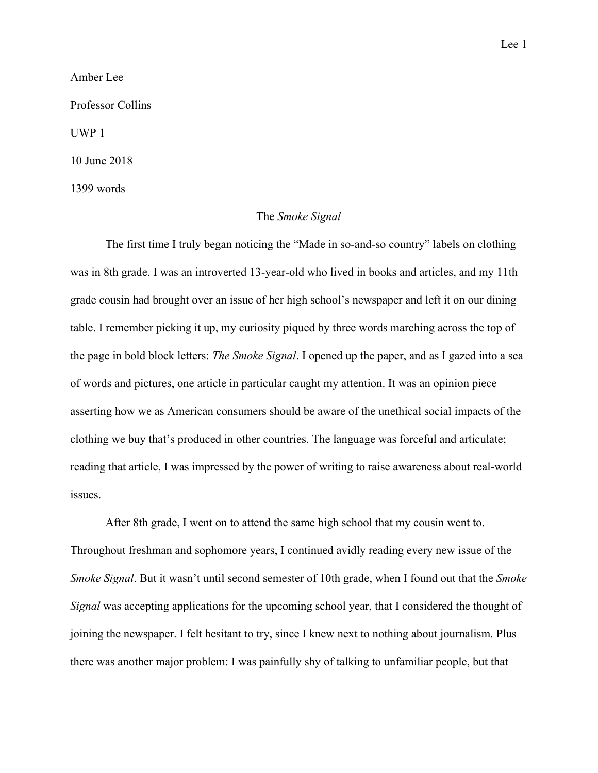Amber Lee

Professor Collins

UWP 1

10 June 2018

1399 words

## The *Smoke Signal*

The first time I truly began noticing the "Made in so-and-so country" labels on clothing was in 8th grade. I was an introverted 13-year-old who lived in books and articles, and my 11th grade cousin had brought over an issue of her high school's newspaper and left it on our dining table. I remember picking it up, my curiosity piqued by three words marching across the top of the page in bold block letters: *The Smoke Signal*. I opened up the paper, and as I gazed into a sea of words and pictures, one article in particular caught my attention. It was an opinion piece asserting how we as American consumers should be aware of the unethical social impacts of the clothing we buy that's produced in other countries. The language was forceful and articulate; reading that article, I was impressed by the power of writing to raise awareness about real-world issues.

After 8th grade, I went on to attend the same high school that my cousin went to. Throughout freshman and sophomore years, I continued avidly reading every new issue of the *Smoke Signal*. But it wasn't until second semester of 10th grade, when I found out that the *Smoke Signal* was accepting applications for the upcoming school year, that I considered the thought of joining the newspaper. I felt hesitant to try, since I knew next to nothing about journalism. Plus there was another major problem: I was painfully shy of talking to unfamiliar people, but that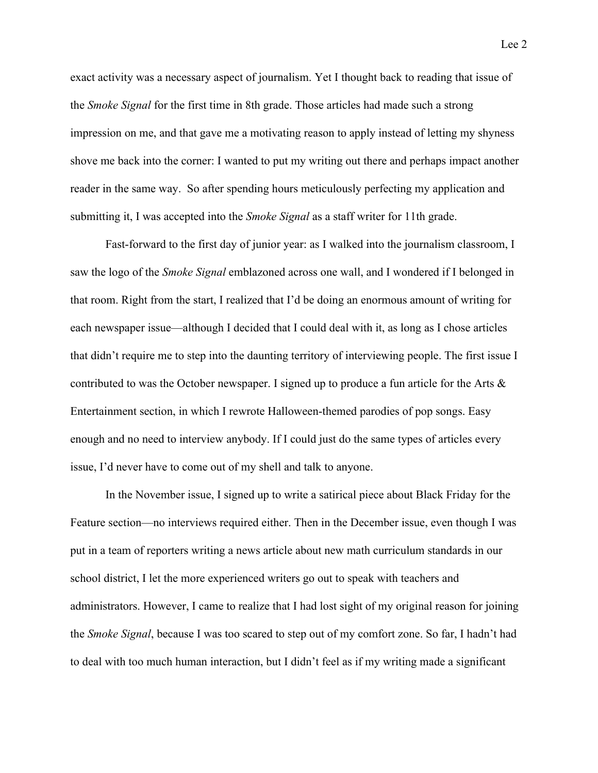exact activity was a necessary aspect of journalism. Yet I thought back to reading that issue of the *Smoke Signal* for the first time in 8th grade. Those articles had made such a strong impression on me, and that gave me a motivating reason to apply instead of letting my shyness shove me back into the corner: I wanted to put my writing out there and perhaps impact another reader in the same way. So after spending hours meticulously perfecting my application and submitting it, I was accepted into the *Smoke Signal* as a staff writer for 11th grade.

Fast-forward to the first day of junior year: as I walked into the journalism classroom, I saw the logo of the *Smoke Signal* emblazoned across one wall, and I wondered if I belonged in that room. Right from the start, I realized that I'd be doing an enormous amount of writing for each newspaper issue—although I decided that I could deal with it, as long as I chose articles that didn't require me to step into the daunting territory of interviewing people. The first issue I contributed to was the October newspaper. I signed up to produce a fun article for the Arts  $\&$ Entertainment section, in which I rewrote Halloween-themed parodies of pop songs. Easy enough and no need to interview anybody. If I could just do the same types of articles every issue, I'd never have to come out of my shell and talk to anyone.

In the November issue, I signed up to write a satirical piece about Black Friday for the Feature section—no interviews required either. Then in the December issue, even though I was put in a team of reporters writing a news article about new math curriculum standards in our school district, I let the more experienced writers go out to speak with teachers and administrators. However, I came to realize that I had lost sight of my original reason for joining the *Smoke Signal*, because I was too scared to step out of my comfort zone. So far, I hadn't had to deal with too much human interaction, but I didn't feel as if my writing made a significant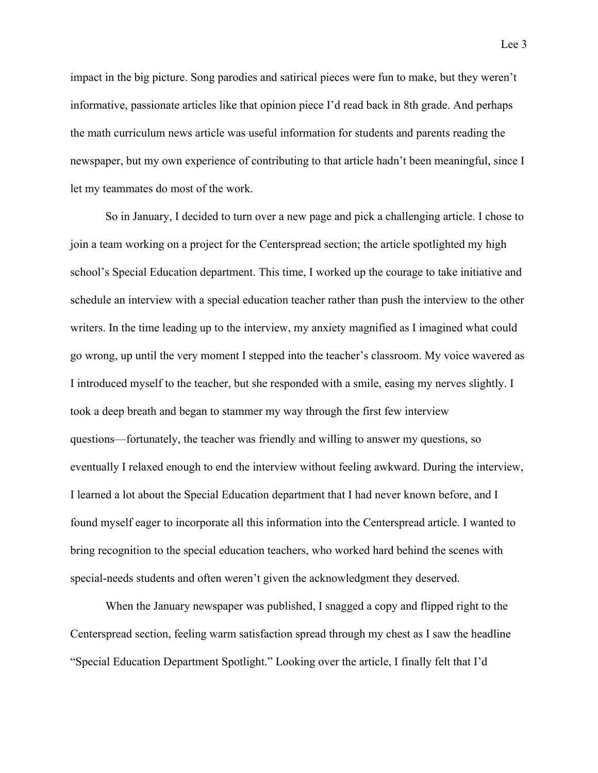impact in the big picture. Song parodies and satirical pieces were fun to make, but they weren't informative, passionate articles like that opinion piece I'd read back in 8th grade. And perhaps the math curriculum news article was useful information for students and parents reading the newspaper, but my own experience of contributing to that article hadn't been meaningful, since I let my teammates do most of the work.

So in January, I decided to turn over a new page and pick a challenging article. I chose to join a team working on a project for the Centerspread section; the article spotlighted my high school's Special Education department. This time, I worked up the courage to take initiative and schedule an interview with a special education teacher rather than push the interview to the other writers. In the time leading up to the interview, my anxiety magnified as I imagined what could go wrong, up until the very moment I stepped into the teacher's classroom. My voice wavered as I introduced myself to the teacher, but she responded with a smile, easing my nerves slightly. I took a deep breath and began to stammer my way through the first few interview questions—fortunately, the teacher was friendly and willing to answer my questions, so eventually I relaxed enough to end the interview without feeling awkward. During the interview, I learned a lot about the Special Education department that I had never known before, and I found myself eager to incorporate all this information into the Centerspread article. I wanted to bring recognition to the special education teachers, who worked hard behind the scenes with special-needs students and often weren't given the acknowledgment they deserved.

When the January newspaper was published, I snagged a copy and flipped right to the Centerspread section, feeling warm satisfaction spread through my chest as I saw the headline "Special Education Department Spotlight." Looking over the article, I finally felt that I'd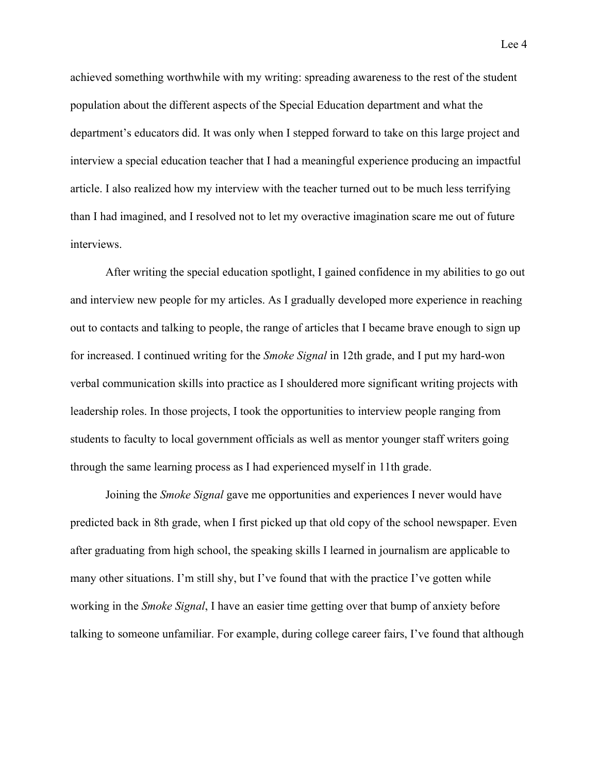achieved something worthwhile with my writing: spreading awareness to the rest of the student population about the different aspects of the Special Education department and what the department's educators did. It was only when I stepped forward to take on this large project and interview a special education teacher that I had a meaningful experience producing an impactful article. I also realized how my interview with the teacher turned out to be much less terrifying than I had imagined, and I resolved not to let my overactive imagination scare me out of future interviews.

After writing the special education spotlight, I gained confidence in my abilities to go out and interview new people for my articles. As I gradually developed more experience in reaching out to contacts and talking to people, the range of articles that I became brave enough to sign up for increased. I continued writing for the *Smoke Signal* in 12th grade, and I put my hard-won verbal communication skills into practice as I shouldered more significant writing projects with leadership roles. In those projects, I took the opportunities to interview people ranging from students to faculty to local government officials as well as mentor younger staff writers going through the same learning process as I had experienced myself in 11th grade.

Joining the *Smoke Signal* gave me opportunities and experiences I never would have predicted back in 8th grade, when I first picked up that old copy of the school newspaper. Even after graduating from high school, the speaking skills I learned in journalism are applicable to many other situations. I'm still shy, but I've found that with the practice I've gotten while working in the *Smoke Signal*, I have an easier time getting over that bump of anxiety before talking to someone unfamiliar. For example, during college career fairs, I've found that although